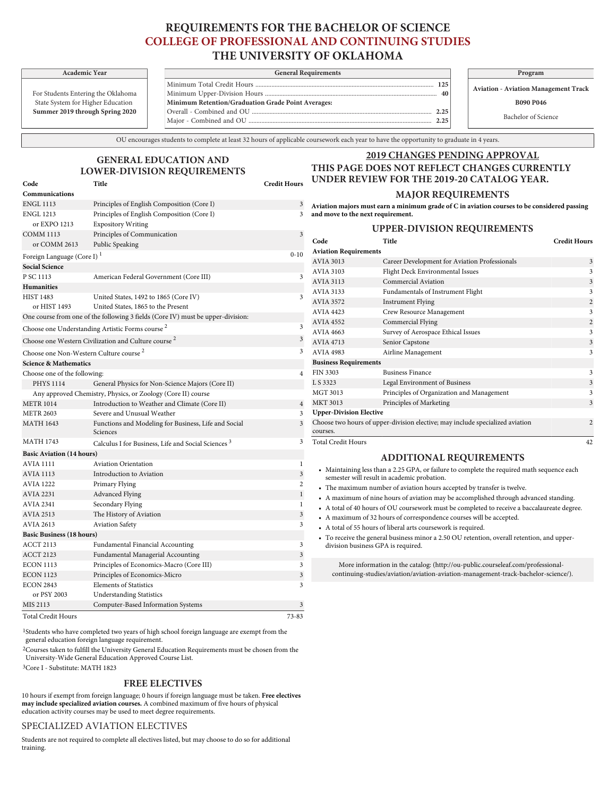# **REQUIREMENTS FOR THE BACHELOR OF SCIENCE COLLEGE OF PROFESSIONAL AND CONTINUING STUDIES THE UNIVERSITY OF OKLAHOMA**

For Students Entering the Oklahoma State System for Higher Education **Summer 2019 through Spring 2020**

or EXPO 1213 Expository Writing

**Communications**

| Academic Year             | <b>General Requirements</b>                        |  | Program                        |  |
|---------------------------|----------------------------------------------------|--|--------------------------------|--|
|                           |                                                    |  | <b>Aviation - Aviation Mar</b> |  |
| nts Entering the Oklahoma | 40                                                 |  |                                |  |
| em for Higher Education   | Minimum Retention/Graduation Grade Point Averages: |  | <b>B090 P04</b>                |  |
| 019 through Spring 2020   | 2.25                                               |  |                                |  |
|                           | つつち                                                |  | Bachelor of Sc                 |  |
|                           |                                                    |  |                                |  |

**Aviation - Aviation Management Track**

**B090 P046**

Bachelor of Science

OU encourages students to complete at least 32 hours of applicable coursework each year to have the opportunity to graduate in 4 years.

# **GENERAL EDUCATION AND LOWER-DIVISION REQUIREMENTS**

ENGL 1113 Principles of English Composition (Core I) 3

## **2019 CHANGES PENDING APPROVAL THIS PAGE DOES NOT REFLECT CHANGES CURRENTLY UNDER REVIEW FOR THE 2019-20 CATALOG YEAR.**

### **MAJOR REQUIREMENTS**

ENGL 1213 Principles of English Composition (Core I) 3 **Aviation majors must earn a minimum grade of C in aviation courses to be considered passing and move to the next requirement.**

## **UPPER-DIVISION REQUIREMENTS**

| <b>COMM 1113</b>                                                | Principles of Communication                                                     | 3              |                                                                                                                                           | UPPER-DIVISION REQUIREMENTS                                                                 |                     |
|-----------------------------------------------------------------|---------------------------------------------------------------------------------|----------------|-------------------------------------------------------------------------------------------------------------------------------------------|---------------------------------------------------------------------------------------------|---------------------|
| or COMM 2613                                                    | Public Speaking                                                                 |                | Code                                                                                                                                      | Title                                                                                       | <b>Credit Hours</b> |
|                                                                 |                                                                                 | $0 - 10$       | <b>Aviation Requirements</b>                                                                                                              |                                                                                             |                     |
| Foreign Language (Core I) <sup>1</sup><br><b>Social Science</b> |                                                                                 |                | <b>AVIA 3013</b>                                                                                                                          | Career Development for Aviation Professionals                                               | 3                   |
| P SC 1113                                                       | American Federal Government (Core III)                                          | 3              | <b>AVIA 3103</b>                                                                                                                          | Flight Deck Environmental Issues                                                            |                     |
| <b>Humanities</b>                                               |                                                                                 |                | <b>AVIA 3113</b>                                                                                                                          | Commercial Aviation                                                                         | $\mathbf{3}$        |
| <b>HIST 1483</b>                                                | United States, 1492 to 1865 (Core IV)                                           | 3              | <b>AVIA 3133</b>                                                                                                                          | Fundamentals of Instrument Flight                                                           |                     |
| or HIST 1493                                                    | United States, 1865 to the Present                                              |                | <b>AVIA 3572</b>                                                                                                                          | <b>Instrument Flying</b>                                                                    |                     |
|                                                                 | One course from one of the following 3 fields (Core IV) must be upper-division: |                | <b>AVIA 4423</b>                                                                                                                          | Crew Resource Management                                                                    |                     |
|                                                                 |                                                                                 | 3              | <b>AVIA 4552</b>                                                                                                                          | Commercial Flying                                                                           |                     |
|                                                                 | Choose one Understanding Artistic Forms course <sup>2</sup>                     |                | <b>AVIA 4663</b>                                                                                                                          | Survey of Aerospace Ethical Issues                                                          |                     |
|                                                                 | Choose one Western Civilization and Culture course <sup>2</sup>                 | 3              | <b>AVIA 4713</b>                                                                                                                          | Senior Capstone                                                                             |                     |
|                                                                 | Choose one Non-Western Culture course <sup>2</sup>                              | 3              | <b>AVIA 4983</b>                                                                                                                          | Airline Management                                                                          | 3                   |
| <b>Science &amp; Mathematics</b>                                |                                                                                 |                | <b>Business Requirements</b>                                                                                                              |                                                                                             |                     |
| Choose one of the following:                                    |                                                                                 | $\overline{4}$ | <b>FIN 3303</b>                                                                                                                           | <b>Business Finance</b>                                                                     | 3                   |
| <b>PHYS 1114</b>                                                | General Physics for Non-Science Majors (Core II)                                |                | L S 3323                                                                                                                                  | Legal Environment of Business                                                               |                     |
|                                                                 | Any approved Chemistry, Physics, or Zoology (Core II) course                    |                | <b>MGT 3013</b>                                                                                                                           | Principles of Organization and Management                                                   |                     |
| <b>METR 1014</b>                                                | Introduction to Weather and Climate (Core II)                                   | $\overline{4}$ | <b>MKT 3013</b>                                                                                                                           | Principles of Marketing                                                                     | $\mathbf{3}$        |
| <b>METR 2603</b>                                                | Severe and Unusual Weather                                                      | 3              | <b>Upper-Division Elective</b>                                                                                                            |                                                                                             |                     |
| <b>MATH 1643</b>                                                | Functions and Modeling for Business, Life and Social<br>Sciences                | 3              | Choose two hours of upper-division elective; may include specialized aviation<br>courses.                                                 |                                                                                             | $\overline{2}$      |
| <b>MATH 1743</b>                                                | Calculus I for Business, Life and Social Sciences <sup>3</sup>                  | 3              | <b>Total Credit Hours</b>                                                                                                                 |                                                                                             | 42                  |
| <b>Basic Aviation (14 hours)</b>                                |                                                                                 |                |                                                                                                                                           | <b>ADDITIONAL REQUIREMENTS</b>                                                              |                     |
| <b>AVIA 1111</b>                                                | <b>Aviation Orientation</b>                                                     |                |                                                                                                                                           |                                                                                             |                     |
| <b>AVIA 1113</b>                                                | Introduction to Aviation                                                        | $\sqrt{3}$     | • Maintaining less than a 2.25 GPA, or failure to complete the required math sequence each<br>semester will result in academic probation. |                                                                                             |                     |
| <b>AVIA 1222</b>                                                | Primary Flying                                                                  | $\overline{c}$ | • The maximum number of aviation hours accepted by transfer is twelve.                                                                    |                                                                                             |                     |
| <b>AVIA 2231</b>                                                | <b>Advanced Flying</b>                                                          | $\mathbf{1}$   |                                                                                                                                           | • A maximum of nine hours of aviation may be accomplished through advanced standing.        |                     |
| <b>AVIA 2341</b>                                                | Secondary Flying                                                                | 1              |                                                                                                                                           | • A total of 40 hours of OU coursework must be completed to receive a baccalaureate degree. |                     |
| <b>AVIA 2513</b>                                                | The History of Aviation                                                         | 3              |                                                                                                                                           | • A maximum of 32 hours of correspondence courses will be accepted.                         |                     |
| <b>AVIA 2613</b>                                                | <b>Aviation Safety</b>                                                          | 3              |                                                                                                                                           | • A total of 55 hours of liberal arts coursework is required.                               |                     |
| <b>Basic Business (18 hours)</b>                                |                                                                                 |                |                                                                                                                                           | • To receive the general business minor a 2.50 OU retention, overall retention, and upper-  |                     |
| <b>ACCT 2113</b>                                                | Fundamental Financial Accounting                                                | 3              |                                                                                                                                           | division business GPA is required.                                                          |                     |
| <b>ACCT 2123</b>                                                | Fundamental Managerial Accounting                                               | 3              |                                                                                                                                           |                                                                                             |                     |
| <b>ECON 1113</b>                                                | Principles of Economics-Macro (Core III)                                        | 3              |                                                                                                                                           | More information in the catalog: (http://ou-public.courseleaf.com/professional-             |                     |

1Students who have completed two years of high school foreign language are exempt from the general education foreign language requirement.

2Courses taken to fulfill the University General Education Requirements must be chosen from the [University-Wide General Education Approved Course List](http://www.ou.edu/gened/courses/).

ECON 1123 Principles of Economics-Micro 3 ECON 2843 Elements of Statistics 3

MIS 2113 Computer-Based Information Systems 3 Total Credit Hours 73-83

3Core I - Substitute: MATH 1823

### **FREE ELECTIVES**

10 hours if exempt from foreign language; 0 hours if foreign language must be taken. **Free electives may include specialized aviation courses.** A combined maximum of five hours of physical education activity courses may be used to meet degree requirements.

#### [SPECIALIZED AVIATION ELECTIVES](/professional-continuing-studies/aviation/aviation-aviation-management-track-bachelor-science/#courseliststext)

or PSY 2003 Understanding Statistics

Students are not required to complete all electives [listed](/professional-continuing-studies/aviation/aviation-aviation-management-track-bachelor-science/#courseliststext), but may choose to do so for additional training.

More information in the catalog: ([http://ou-public.courseleaf.com/professional](http://ou-public.courseleaf.com/professional-continuing-studies/aviation/aviation-aviation-management-track-bachelor-science/)[continuing-studies/aviation/aviation-aviation-management-track-bachelor-science/\)](http://ou-public.courseleaf.com/professional-continuing-studies/aviation/aviation-aviation-management-track-bachelor-science/).

**Code Title Credit Hours**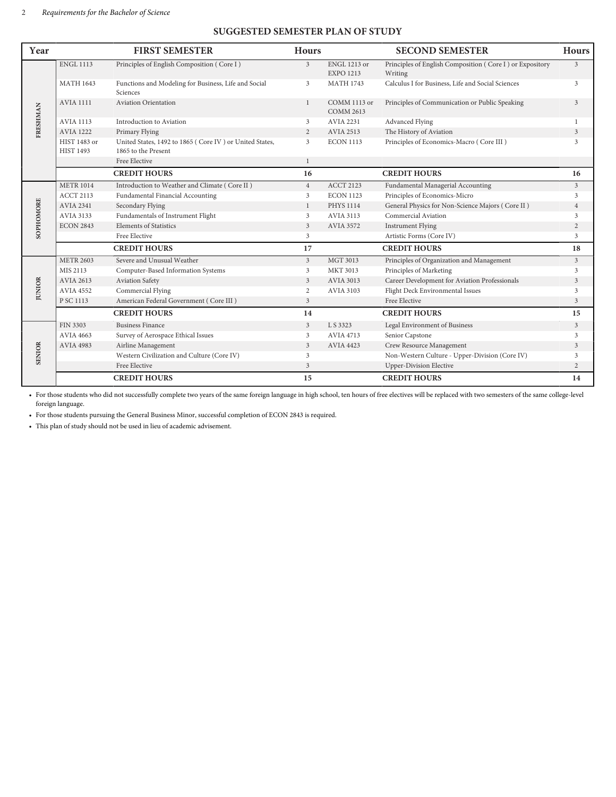# **SUGGESTED SEMESTER PLAN OF STUDY**

| Year          |                                  | <b>FIRST SEMESTER</b>                                                          | <b>Hours</b>   |                                         | <b>SECOND SEMESTER</b>                                              | <b>Hours</b>   |
|---------------|----------------------------------|--------------------------------------------------------------------------------|----------------|-----------------------------------------|---------------------------------------------------------------------|----------------|
| FRESHMAN      | <b>ENGL 1113</b>                 | Principles of English Composition (Core I)                                     | $\mathfrak{Z}$ | <b>ENGL 1213 or</b><br><b>EXPO 1213</b> | Principles of English Composition (Core I) or Expository<br>Writing | 3              |
|               | <b>MATH 1643</b>                 | Functions and Modeling for Business, Life and Social<br>Sciences               | 3              | <b>MATH 1743</b>                        | Calculus I for Business, Life and Social Sciences                   | 3              |
|               | <b>AVIA 1111</b>                 | <b>Aviation Orientation</b>                                                    | $\mathbf{1}$   | COMM 1113 or<br><b>COMM 2613</b>        | Principles of Communication or Public Speaking                      | 3              |
|               | <b>AVIA 1113</b>                 | Introduction to Aviation                                                       | 3              | <b>AVIA 2231</b>                        | Advanced Flying                                                     |                |
|               | <b>AVIA 1222</b>                 | Primary Flying                                                                 | 2              | <b>AVIA 2513</b>                        | The History of Aviation                                             | $\overline{3}$ |
|               | HIST 1483 or<br><b>HIST 1493</b> | United States, 1492 to 1865 (Core IV) or United States,<br>1865 to the Present | 3              | <b>ECON 1113</b>                        | Principles of Economics-Macro (Core III)                            | 3              |
|               |                                  | Free Elective                                                                  | $\mathbf{1}$   |                                         |                                                                     |                |
|               |                                  | <b>CREDIT HOURS</b>                                                            | 16             |                                         | <b>CREDIT HOURS</b>                                                 | 16             |
| SOPHOMORE     | <b>METR 1014</b>                 | Introduction to Weather and Climate (Core II)                                  | $\overline{4}$ | <b>ACCT 2123</b>                        | Fundamental Managerial Accounting                                   | $\overline{3}$ |
|               | <b>ACCT 2113</b>                 | Fundamental Financial Accounting                                               | 3              | <b>ECON 1123</b>                        | Principles of Economics-Micro                                       | 3              |
|               | <b>AVIA 2341</b>                 | Secondary Flying                                                               | $\mathbf{1}$   | <b>PHYS 1114</b>                        | General Physics for Non-Science Majors (Core II)                    | $\overline{4}$ |
|               | <b>AVIA 3133</b>                 | Fundamentals of Instrument Flight                                              | 3              | <b>AVIA 3113</b>                        | Commercial Aviation                                                 | 3              |
|               | <b>ECON 2843</b>                 | <b>Elements of Statistics</b>                                                  | $\mathfrak{Z}$ | <b>AVIA 3572</b>                        | <b>Instrument Flying</b>                                            | 2              |
|               |                                  | Free Elective                                                                  | 3              |                                         | Artistic Forms (Core IV)                                            | 3              |
|               |                                  | <b>CREDIT HOURS</b>                                                            | 17             |                                         | <b>CREDIT HOURS</b>                                                 | 18             |
|               | <b>METR 2603</b>                 | Severe and Unusual Weather                                                     | $\mathfrak{Z}$ | <b>MGT 3013</b>                         | Principles of Organization and Management                           | 3              |
|               | MIS 2113                         | Computer-Based Information Systems                                             | 3              | <b>MKT 3013</b>                         | Principles of Marketing                                             | 3              |
|               | <b>AVIA 2613</b>                 | Aviation Safety                                                                | $\mathfrak{Z}$ | AVIA 3013                               | Career Development for Aviation Professionals                       | 3              |
| <b>JUNIOR</b> | <b>AVIA 4552</b>                 | Commercial Flying                                                              | 2              | <b>AVIA 3103</b>                        | Flight Deck Environmental Issues                                    | 3              |
|               | P SC 1113                        | American Federal Government (Core III)                                         | 3              |                                         | Free Elective                                                       | 3              |
|               |                                  | <b>CREDIT HOURS</b>                                                            | 14             |                                         | <b>CREDIT HOURS</b>                                                 | 15             |
|               | <b>FIN 3303</b>                  | <b>Business Finance</b>                                                        | $\mathfrak{Z}$ | L S 3323                                | Legal Environment of Business                                       | $\mathfrak{Z}$ |
|               | <b>AVIA 4663</b>                 | Survey of Aerospace Ethical Issues                                             | 3              | <b>AVIA 4713</b>                        | Senior Capstone                                                     | 3              |
|               | <b>AVIA 4983</b>                 | Airline Management                                                             | 3              | <b>AVIA 4423</b>                        | Crew Resource Management                                            | 3              |
| <b>SENIOR</b> |                                  | Western Civilization and Culture (Core IV)                                     | 3              |                                         | Non-Western Culture - Upper-Division (Core IV)                      | 3              |
|               |                                  | Free Elective                                                                  | 3              |                                         | <b>Upper-Division Elective</b>                                      | $\overline{2}$ |
|               |                                  | <b>CREDIT HOURS</b>                                                            | 15             |                                         | <b>CREDIT HOURS</b>                                                 | 14             |

• For those students who did not successfully complete two years of the same foreign language in high school, ten hours of free electives will be replaced with two semesters of the same college-level foreign language.

• For those students pursuing the General Business Minor, successful completion of ECON 2843 is required.

• This plan of study should not be used in lieu of academic advisement.